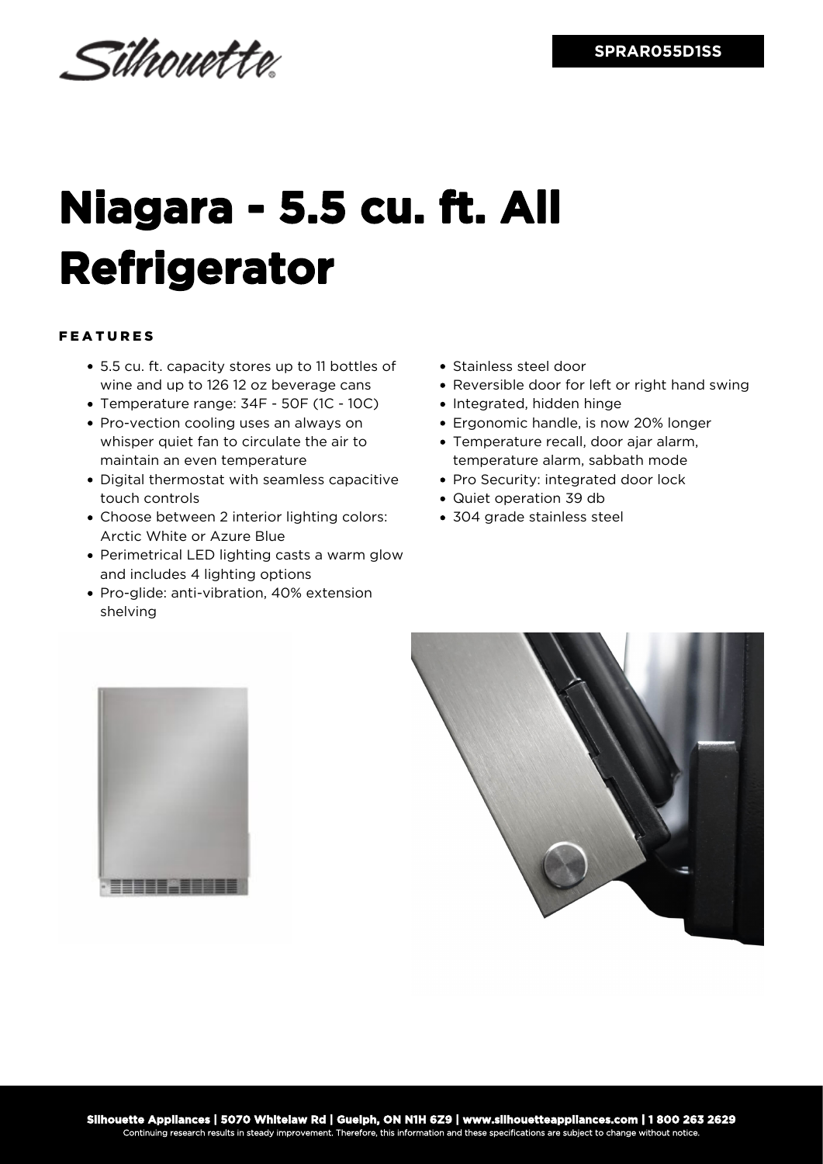Silhouette

## **Niagara - 5.5 cu. ft. All Refrigerator**

## FEATURES

- 5.5 cu. ft. capacity stores up to 11 bottles of wine and up to 126 12 oz beverage cans
- Temperature range: 34F 50F (1C 10C)
- Pro-vection cooling uses an always on whisper quiet fan to circulate the air to maintain an even temperature
- Digital thermostat with seamless capacitive touch controls
- Choose between 2 interior lighting colors: Arctic White or Azure Blue
- Perimetrical LED lighting casts a warm glow and includes 4 lighting options
- Pro-glide: anti-vibration, 40% extension shelving
- Stainless steel door
- Reversible door for left or right hand swing
- Integrated, hidden hinge
- Ergonomic handle, is now 20% longer
- Temperature recall, door ajar alarm, temperature alarm, sabbath mode
- Pro Security: integrated door lock
- Quiet operation 39 db
- 304 grade stainless steel